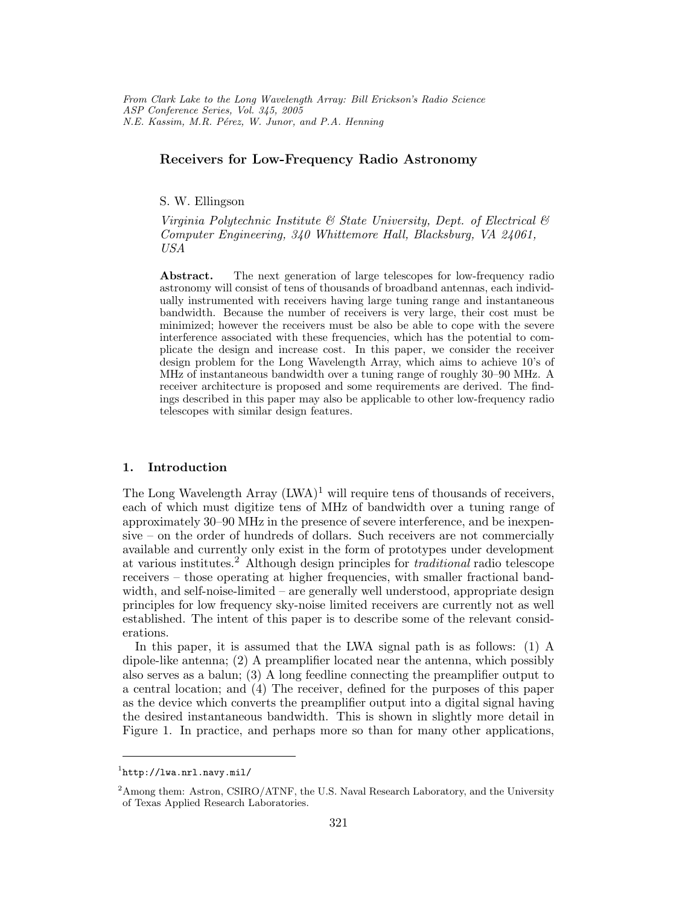From Clark Lake to the Long Wavelength Array: Bill Erickson's Radio Science ASP Conference Series, Vol. 345, 2005 N.E. Kassim, M.R. Pérez, W. Junor, and P.A. Henning

# Receivers for Low-Frequency Radio Astronomy

S. W. Ellingson

Virginia Polytechnic Institute  $\mathcal B$  State University, Dept. of Electrical  $\mathcal B$ Computer Engineering, 340 Whittemore Hall, Blacksburg, VA 24061, USA

Abstract. The next generation of large telescopes for low-frequency radio astronomy will consist of tens of thousands of broadband antennas, each individually instrumented with receivers having large tuning range and instantaneous bandwidth. Because the number of receivers is very large, their cost must be minimized; however the receivers must be also be able to cope with the severe interference associated with these frequencies, which has the potential to complicate the design and increase cost. In this paper, we consider the receiver design problem for the Long Wavelength Array, which aims to achieve 10's of MHz of instantaneous bandwidth over a tuning range of roughly 30–90 MHz. A receiver architecture is proposed and some requirements are derived. The findings described in this paper may also be applicable to other low-frequency radio telescopes with similar design features.

#### 1. Introduction

The Long Wavelength Array  $(LWA)^1$  will require tens of thousands of receivers, each of which must digitize tens of MHz of bandwidth over a tuning range of approximately 30–90 MHz in the presence of severe interference, and be inexpensive – on the order of hundreds of dollars. Such receivers are not commercially available and currently only exist in the form of prototypes under development at various institutes.<sup>2</sup> Although design principles for traditional radio telescope receivers – those operating at higher frequencies, with smaller fractional bandwidth, and self-noise-limited – are generally well understood, appropriate design principles for low frequency sky-noise limited receivers are currently not as well established. The intent of this paper is to describe some of the relevant considerations.

In this paper, it is assumed that the LWA signal path is as follows: (1) A dipole-like antenna; (2) A preamplifier located near the antenna, which possibly also serves as a balun; (3) A long feedline connecting the preamplifier output to a central location; and (4) The receiver, defined for the purposes of this paper as the device which converts the preamplifier output into a digital signal having the desired instantaneous bandwidth. This is shown in slightly more detail in Figure 1. In practice, and perhaps more so than for many other applications,

<sup>1</sup> http://lwa.nrl.navy.mil/

<sup>&</sup>lt;sup>2</sup> Among them: Astron, CSIRO/ATNF, the U.S. Naval Research Laboratory, and the University of Texas Applied Research Laboratories.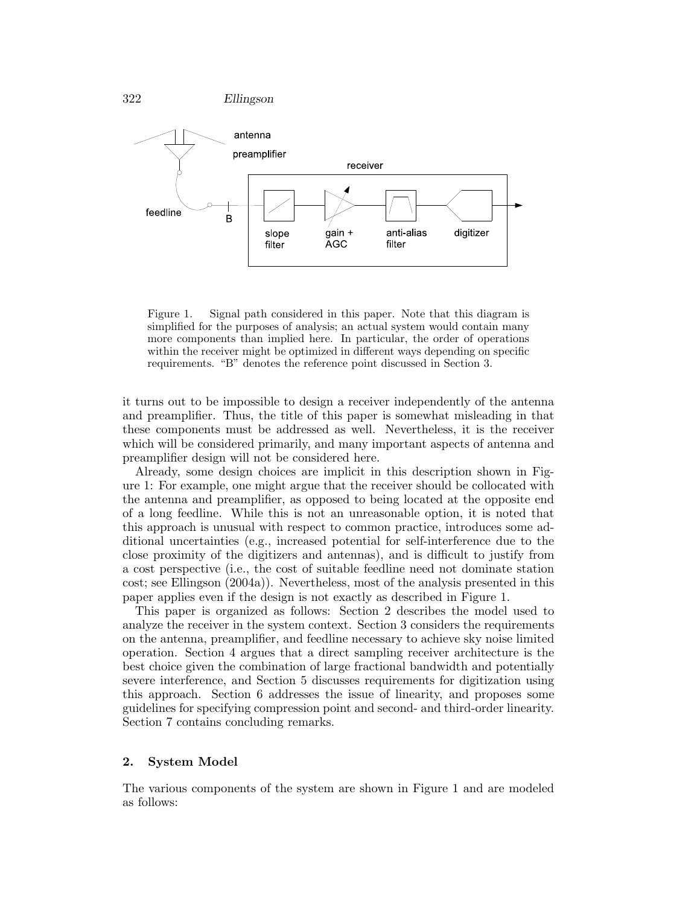

322 Ellingson

Figure 1. Signal path considered in this paper. Note that this diagram is simplified for the purposes of analysis; an actual system would contain many more components than implied here. In particular, the order of operations within the receiver might be optimized in different ways depending on specific requirements. "B" denotes the reference point discussed in Section 3.

it turns out to be impossible to design a receiver independently of the antenna and preamplifier. Thus, the title of this paper is somewhat misleading in that these components must be addressed as well. Nevertheless, it is the receiver which will be considered primarily, and many important aspects of antenna and preamplifier design will not be considered here.

Already, some design choices are implicit in this description shown in Figure 1: For example, one might argue that the receiver should be collocated with the antenna and preamplifier, as opposed to being located at the opposite end of a long feedline. While this is not an unreasonable option, it is noted that this approach is unusual with respect to common practice, introduces some additional uncertainties (e.g., increased potential for self-interference due to the close proximity of the digitizers and antennas), and is difficult to justify from a cost perspective (i.e., the cost of suitable feedline need not dominate station cost; see Ellingson (2004a)). Nevertheless, most of the analysis presented in this paper applies even if the design is not exactly as described in Figure 1.

This paper is organized as follows: Section 2 describes the model used to analyze the receiver in the system context. Section 3 considers the requirements on the antenna, preamplifier, and feedline necessary to achieve sky noise limited operation. Section 4 argues that a direct sampling receiver architecture is the best choice given the combination of large fractional bandwidth and potentially severe interference, and Section 5 discusses requirements for digitization using this approach. Section 6 addresses the issue of linearity, and proposes some guidelines for specifying compression point and second- and third-order linearity. Section 7 contains concluding remarks.

## 2. System Model

The various components of the system are shown in Figure 1 and are modeled as follows: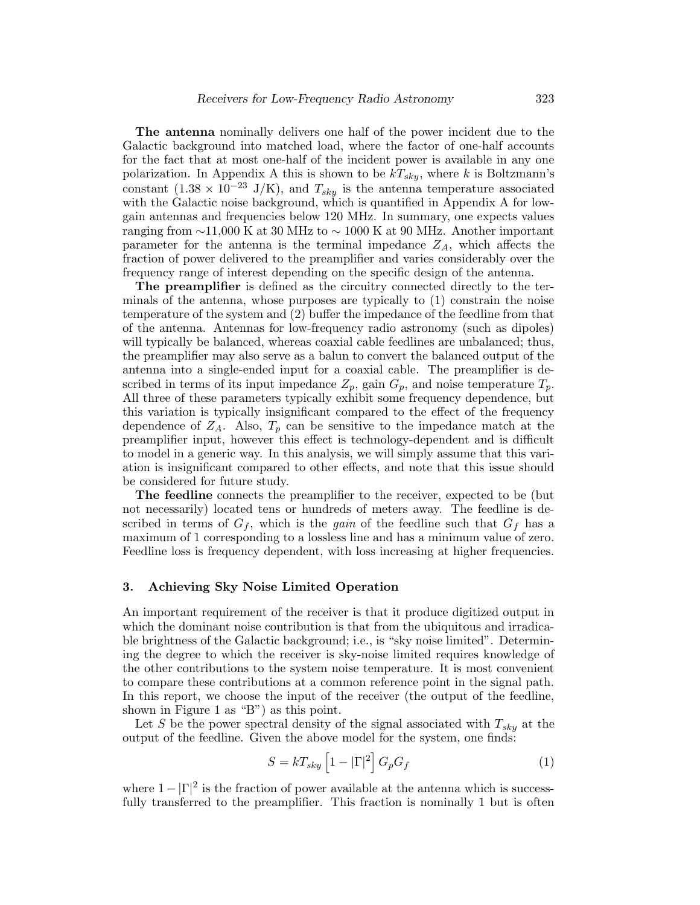The antenna nominally delivers one half of the power incident due to the Galactic background into matched load, where the factor of one-half accounts for the fact that at most one-half of the incident power is available in any one polarization. In Appendix A this is shown to be  $kT_{sky}$ , where k is Boltzmann's constant  $(1.38 \times 10^{-23} \text{ J/K})$ , and  $T_{sky}$  is the antenna temperature associated with the Galactic noise background, which is quantified in Appendix A for lowgain antennas and frequencies below 120 MHz. In summary, one expects values ranging from ∼11,000 K at 30 MHz to ∼ 1000 K at 90 MHz. Another important parameter for the antenna is the terminal impedance  $Z_A$ , which affects the fraction of power delivered to the preamplifier and varies considerably over the frequency range of interest depending on the specific design of the antenna.

The preamplifier is defined as the circuitry connected directly to the terminals of the antenna, whose purposes are typically to (1) constrain the noise temperature of the system and (2) buffer the impedance of the feedline from that of the antenna. Antennas for low-frequency radio astronomy (such as dipoles) will typically be balanced, whereas coaxial cable feedlines are unbalanced; thus, the preamplifier may also serve as a balun to convert the balanced output of the antenna into a single-ended input for a coaxial cable. The preamplifier is described in terms of its input impedance  $Z_p$ , gain  $G_p$ , and noise temperature  $T_p$ . All three of these parameters typically exhibit some frequency dependence, but this variation is typically insignificant compared to the effect of the frequency dependence of  $Z_A$ . Also,  $T_p$  can be sensitive to the impedance match at the preamplifier input, however this effect is technology-dependent and is difficult to model in a generic way. In this analysis, we will simply assume that this variation is insignificant compared to other effects, and note that this issue should be considered for future study.

The feedline connects the preamplifier to the receiver, expected to be (but not necessarily) located tens or hundreds of meters away. The feedline is described in terms of  $G_f$ , which is the *gain* of the feedline such that  $G_f$  has a maximum of 1 corresponding to a lossless line and has a minimum value of zero. Feedline loss is frequency dependent, with loss increasing at higher frequencies.

# 3. Achieving Sky Noise Limited Operation

An important requirement of the receiver is that it produce digitized output in which the dominant noise contribution is that from the ubiquitous and irradicable brightness of the Galactic background; i.e., is "sky noise limited". Determining the degree to which the receiver is sky-noise limited requires knowledge of the other contributions to the system noise temperature. It is most convenient to compare these contributions at a common reference point in the signal path. In this report, we choose the input of the receiver (the output of the feedline, shown in Figure 1 as "B") as this point.

Let S be the power spectral density of the signal associated with  $T_{sky}$  at the output of the feedline. Given the above model for the system, one finds:

$$
S = kT_{sky} \left[ 1 - |\Gamma|^2 \right] G_p G_f \tag{1}
$$

where  $1 - |\Gamma|^2$  is the fraction of power available at the antenna which is successfully transferred to the preamplifier. This fraction is nominally 1 but is often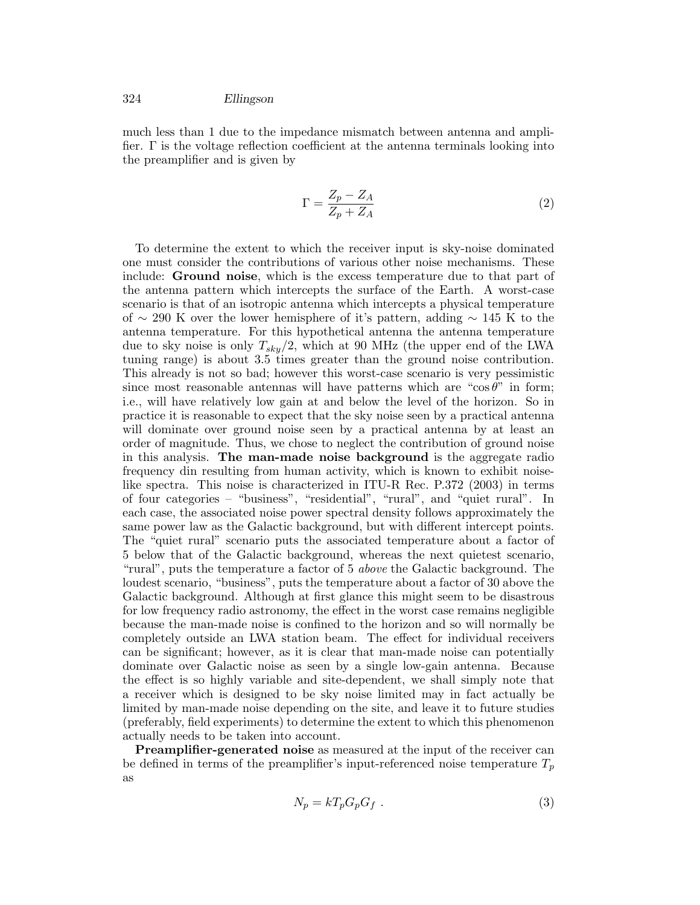much less than 1 due to the impedance mismatch between antenna and amplifier. Γ is the voltage reflection coefficient at the antenna terminals looking into the preamplifier and is given by

$$
\Gamma = \frac{Z_p - Z_A}{Z_p + Z_A} \tag{2}
$$

To determine the extent to which the receiver input is sky-noise dominated one must consider the contributions of various other noise mechanisms. These include: Ground noise, which is the excess temperature due to that part of the antenna pattern which intercepts the surface of the Earth. A worst-case scenario is that of an isotropic antenna which intercepts a physical temperature of ∼ 290 K over the lower hemisphere of it's pattern, adding ∼ 145 K to the antenna temperature. For this hypothetical antenna the antenna temperature due to sky noise is only  $T_{sky}/2$ , which at 90 MHz (the upper end of the LWA tuning range) is about 3.5 times greater than the ground noise contribution. This already is not so bad; however this worst-case scenario is very pessimistic since most reasonable antennas will have patterns which are "cos $\theta$ " in form; i.e., will have relatively low gain at and below the level of the horizon. So in practice it is reasonable to expect that the sky noise seen by a practical antenna will dominate over ground noise seen by a practical antenna by at least an order of magnitude. Thus, we chose to neglect the contribution of ground noise in this analysis. The man-made noise background is the aggregate radio frequency din resulting from human activity, which is known to exhibit noiselike spectra. This noise is characterized in ITU-R Rec. P.372 (2003) in terms of four categories – "business", "residential", "rural", and "quiet rural". In each case, the associated noise power spectral density follows approximately the same power law as the Galactic background, but with different intercept points. The "quiet rural" scenario puts the associated temperature about a factor of 5 below that of the Galactic background, whereas the next quietest scenario, "rural", puts the temperature a factor of 5 above the Galactic background. The loudest scenario, "business", puts the temperature about a factor of 30 above the Galactic background. Although at first glance this might seem to be disastrous for low frequency radio astronomy, the effect in the worst case remains negligible because the man-made noise is confined to the horizon and so will normally be completely outside an LWA station beam. The effect for individual receivers can be significant; however, as it is clear that man-made noise can potentially dominate over Galactic noise as seen by a single low-gain antenna. Because the effect is so highly variable and site-dependent, we shall simply note that a receiver which is designed to be sky noise limited may in fact actually be limited by man-made noise depending on the site, and leave it to future studies (preferably, field experiments) to determine the extent to which this phenomenon actually needs to be taken into account.

**Preamplifier-generated noise** as measured at the input of the receiver can be defined in terms of the preamplifier's input-referenced noise temperature  $T_p$ as

$$
N_p = kT_p G_p G_f . \t\t(3)
$$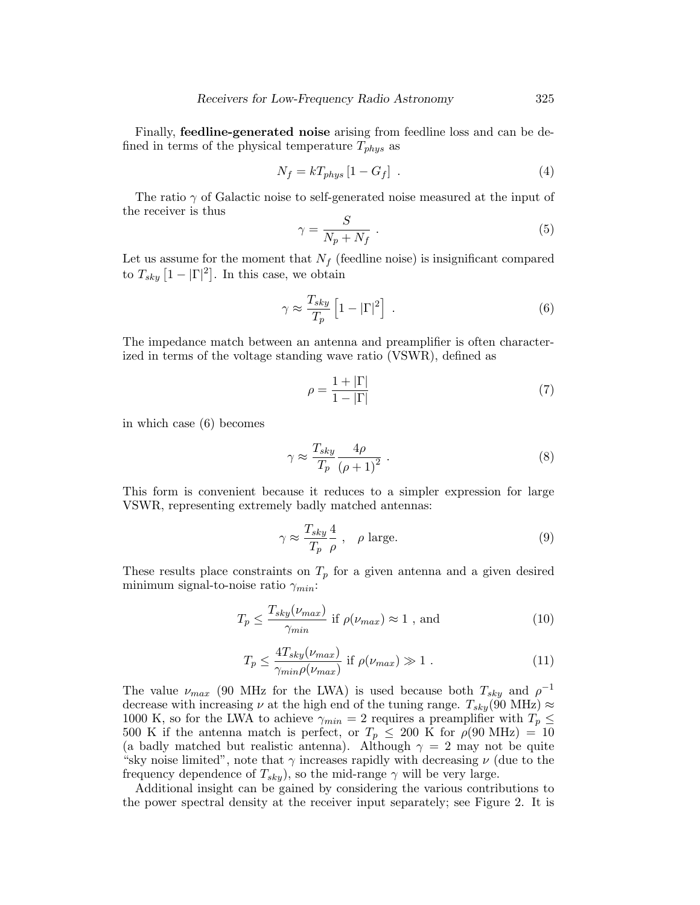Finally, **feedline-generated noise** arising from feedline loss and can be defined in terms of the physical temperature  $T_{phys}$  as

$$
N_f = kT_{phys} \left[ 1 - G_f \right] \tag{4}
$$

The ratio  $\gamma$  of Galactic noise to self-generated noise measured at the input of the receiver is thus  $\mathcal{C}^{\prime}$ 

$$
\gamma = \frac{S}{N_p + N_f} \ . \tag{5}
$$

Let us assume for the moment that  $N_f$  (feedline noise) is insignificant compared to  $T_{sky}$   $\left[1 - |\Gamma|^2\right]$ . In this case, we obtain

$$
\gamma \approx \frac{T_{sky}}{T_p} \left[ 1 - |\Gamma|^2 \right] \ . \tag{6}
$$

The impedance match between an antenna and preamplifier is often characterized in terms of the voltage standing wave ratio (VSWR), defined as

$$
\rho = \frac{1 + |\Gamma|}{1 - |\Gamma|} \tag{7}
$$

in which case (6) becomes

$$
\gamma \approx \frac{T_{sky}}{T_p} \frac{4\rho}{\left(\rho + 1\right)^2} \ . \tag{8}
$$

This form is convenient because it reduces to a simpler expression for large VSWR, representing extremely badly matched antennas:

$$
\gamma \approx \frac{T_{sky}}{T_p} \frac{4}{\rho} , \quad \rho \text{ large.} \tag{9}
$$

These results place constraints on  $T_p$  for a given antenna and a given desired minimum signal-to-noise ratio  $\gamma_{min}$ :

$$
T_p \le \frac{T_{sky}(\nu_{max})}{\gamma_{min}} \text{ if } \rho(\nu_{max}) \approx 1 \text{ , and } \qquad (10)
$$

$$
T_p \le \frac{4T_{sky}(\nu_{max})}{\gamma_{min}\rho(\nu_{max})} \text{ if } \rho(\nu_{max}) \gg 1. \tag{11}
$$

The value  $\nu_{max}$  (90 MHz for the LWA) is used because both  $T_{sky}$  and  $\rho^{-1}$ decrease with increasing  $\nu$  at the high end of the tuning range.  $T_{sky}(90 \text{ MHz}) \approx$ 1000 K, so for the LWA to achieve  $\gamma_{min} = 2$  requires a preamplifier with  $T_p \leq$ 500 K if the antenna match is perfect, or  $T_p \leq 200$  K for  $\rho(90 \text{ MHz}) = 10$ (a badly matched but realistic antenna). Although  $\gamma = 2$  may not be quite "sky noise limited", note that  $\gamma$  increases rapidly with decreasing  $\nu$  (due to the frequency dependence of  $T_{sky}$ , so the mid-range  $\gamma$  will be very large.

Additional insight can be gained by considering the various contributions to the power spectral density at the receiver input separately; see Figure 2. It is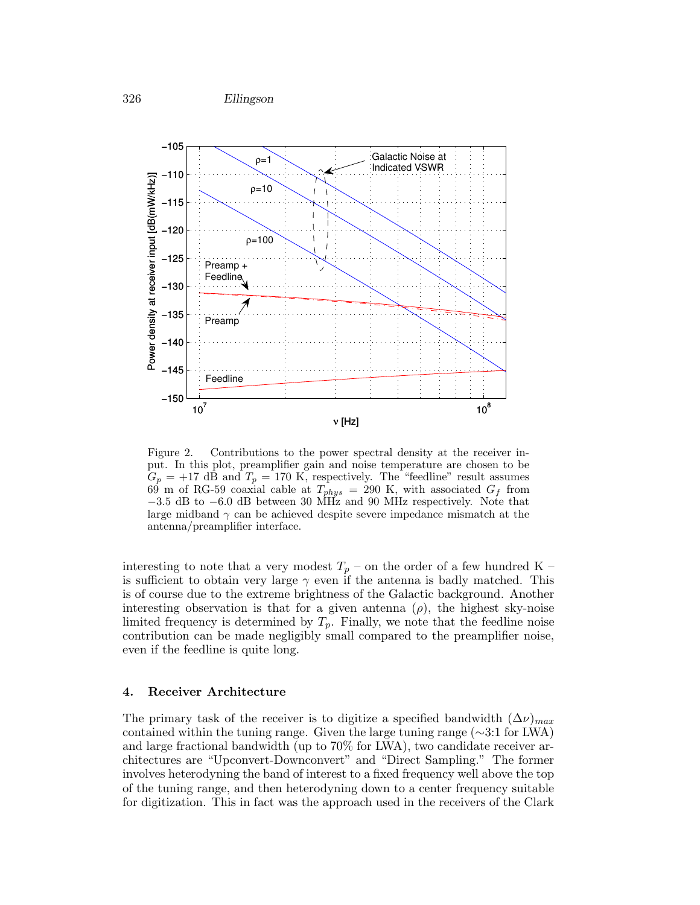

Figure 2. Contributions to the power spectral density at the receiver input. In this plot, preamplifier gain and noise temperature are chosen to be  $G_p = +17$  dB and  $T_p = 170$  K, respectively. The "feedline" result assumes 69 m of RG-59 coaxial cable at  $T_{phys} = 290$  K, with associated  $G_f$  from −3.5 dB to −6.0 dB between 30 MHz and 90 MHz respectively. Note that large midband  $\gamma$  can be achieved despite severe impedance mismatch at the antenna/preamplifier interface.

interesting to note that a very modest  $T_p$  – on the order of a few hundred K – is sufficient to obtain very large  $\gamma$  even if the antenna is badly matched. This is of course due to the extreme brightness of the Galactic background. Another interesting observation is that for a given antenna  $(\rho)$ , the highest sky-noise limited frequency is determined by  $T_p$ . Finally, we note that the feedline noise contribution can be made negligibly small compared to the preamplifier noise, even if the feedline is quite long.

## 4. Receiver Architecture

The primary task of the receiver is to digitize a specified bandwidth  $(\Delta \nu)_{max}$ contained within the tuning range. Given the large tuning range (∼3:1 for LWA) and large fractional bandwidth (up to 70% for LWA), two candidate receiver architectures are "Upconvert-Downconvert" and "Direct Sampling." The former involves heterodyning the band of interest to a fixed frequency well above the top of the tuning range, and then heterodyning down to a center frequency suitable for digitization. This in fact was the approach used in the receivers of the Clark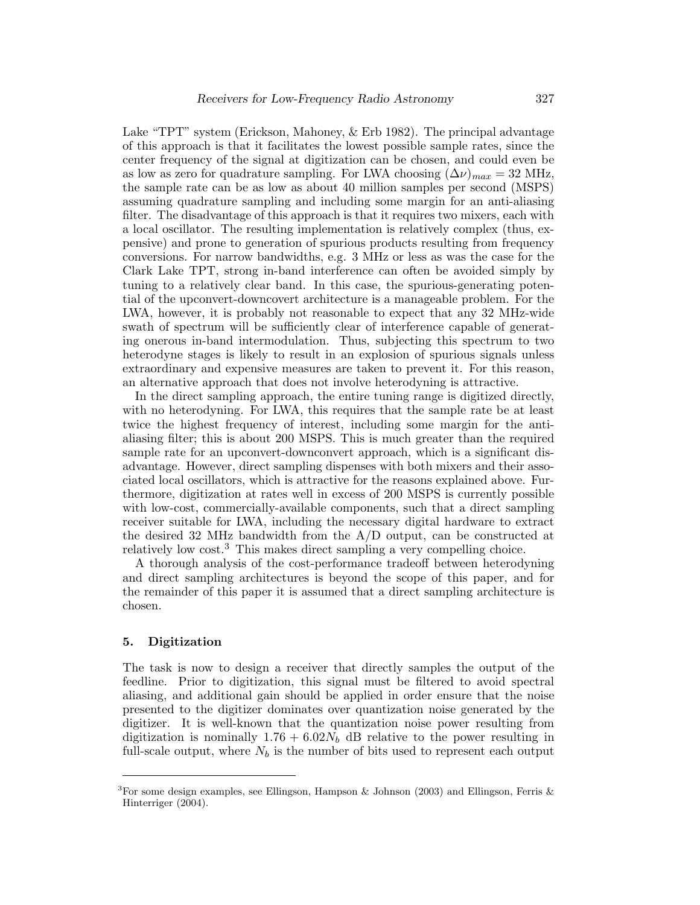Lake "TPT" system (Erickson, Mahoney,  $\&$  Erb 1982). The principal advantage of this approach is that it facilitates the lowest possible sample rates, since the center frequency of the signal at digitization can be chosen, and could even be as low as zero for quadrature sampling. For LWA choosing  $(\Delta \nu)_{max} = 32$  MHz, the sample rate can be as low as about 40 million samples per second (MSPS) assuming quadrature sampling and including some margin for an anti-aliasing filter. The disadvantage of this approach is that it requires two mixers, each with a local oscillator. The resulting implementation is relatively complex (thus, expensive) and prone to generation of spurious products resulting from frequency conversions. For narrow bandwidths, e.g. 3 MHz or less as was the case for the Clark Lake TPT, strong in-band interference can often be avoided simply by tuning to a relatively clear band. In this case, the spurious-generating potential of the upconvert-downcovert architecture is a manageable problem. For the LWA, however, it is probably not reasonable to expect that any 32 MHz-wide swath of spectrum will be sufficiently clear of interference capable of generating onerous in-band intermodulation. Thus, subjecting this spectrum to two heterodyne stages is likely to result in an explosion of spurious signals unless extraordinary and expensive measures are taken to prevent it. For this reason, an alternative approach that does not involve heterodyning is attractive.

In the direct sampling approach, the entire tuning range is digitized directly, with no heterodyning. For LWA, this requires that the sample rate be at least twice the highest frequency of interest, including some margin for the antialiasing filter; this is about 200 MSPS. This is much greater than the required sample rate for an upconvert-downconvert approach, which is a significant disadvantage. However, direct sampling dispenses with both mixers and their associated local oscillators, which is attractive for the reasons explained above. Furthermore, digitization at rates well in excess of 200 MSPS is currently possible with low-cost, commercially-available components, such that a direct sampling receiver suitable for LWA, including the necessary digital hardware to extract the desired 32 MHz bandwidth from the A/D output, can be constructed at relatively low cost.<sup>3</sup> This makes direct sampling a very compelling choice.

A thorough analysis of the cost-performance tradeoff between heterodyning and direct sampling architectures is beyond the scope of this paper, and for the remainder of this paper it is assumed that a direct sampling architecture is chosen.

## 5. Digitization

The task is now to design a receiver that directly samples the output of the feedline. Prior to digitization, this signal must be filtered to avoid spectral aliasing, and additional gain should be applied in order ensure that the noise presented to the digitizer dominates over quantization noise generated by the digitizer. It is well-known that the quantization noise power resulting from digitization is nominally  $1.76 + 6.02N_b$  dB relative to the power resulting in full-scale output, where  $N_b$  is the number of bits used to represent each output

<sup>&</sup>lt;sup>3</sup>For some design examples, see Ellingson, Hampson & Johnson (2003) and Ellingson, Ferris & Hinterriger (2004).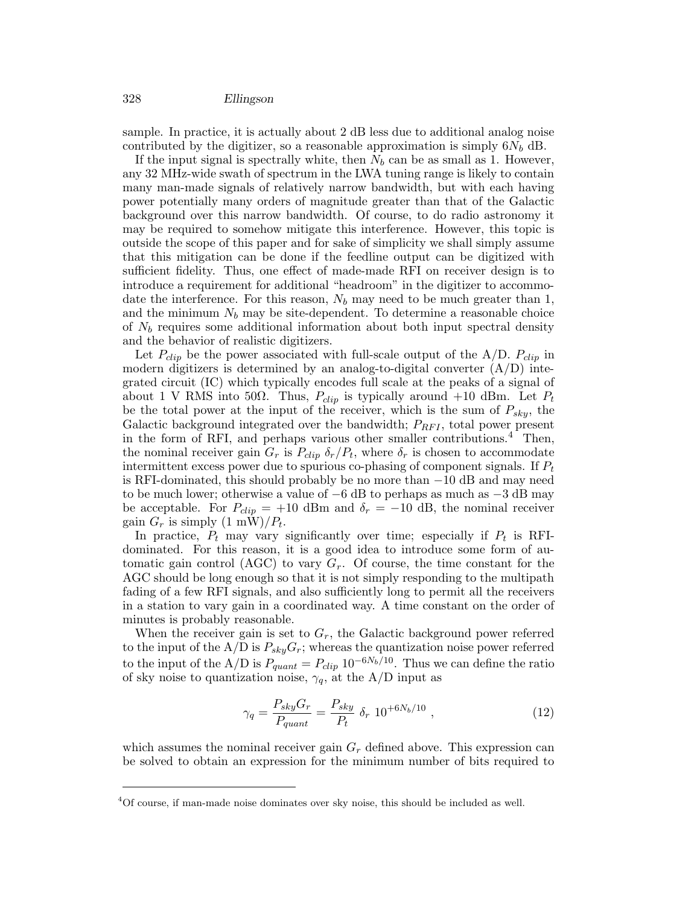sample. In practice, it is actually about 2 dB less due to additional analog noise contributed by the digitizer, so a reasonable approximation is simply  $6N_b$  dB.

If the input signal is spectrally white, then  $N_b$  can be as small as 1. However, any 32 MHz-wide swath of spectrum in the LWA tuning range is likely to contain many man-made signals of relatively narrow bandwidth, but with each having power potentially many orders of magnitude greater than that of the Galactic background over this narrow bandwidth. Of course, to do radio astronomy it may be required to somehow mitigate this interference. However, this topic is outside the scope of this paper and for sake of simplicity we shall simply assume that this mitigation can be done if the feedline output can be digitized with sufficient fidelity. Thus, one effect of made-made RFI on receiver design is to introduce a requirement for additional "headroom" in the digitizer to accommodate the interference. For this reason,  $N_b$  may need to be much greater than 1, and the minimum  $N_b$  may be site-dependent. To determine a reasonable choice of  $N_b$  requires some additional information about both input spectral density and the behavior of realistic digitizers.

Let  $P_{clip}$  be the power associated with full-scale output of the A/D.  $P_{clip}$  in modern digitizers is determined by an analog-to-digital converter  $(A/D)$  integrated circuit (IC) which typically encodes full scale at the peaks of a signal of about 1 V RMS into 50 $\Omega$ . Thus,  $P_{clip}$  is typically around +10 dBm. Let  $P_t$ be the total power at the input of the receiver, which is the sum of  $P_{sky}$ , the Galactic background integrated over the bandwidth;  $P_{RFI}$ , total power present in the form of RFI, and perhaps various other smaller contributions.<sup>4</sup> Then, the nominal receiver gain  $G_r$  is  $P_{clip} \delta_r/P_t$ , where  $\delta_r$  is chosen to accommodate intermittent excess power due to spurious co-phasing of component signals. If  $P_t$ is RFI-dominated, this should probably be no more than −10 dB and may need to be much lower; otherwise a value of −6 dB to perhaps as much as −3 dB may be acceptable. For  $P_{clip} = +10$  dBm and  $\delta_r = -10$  dB, the nominal receiver gain  $G_r$  is simply  $(1 \text{ mW})/P_t$ .

In practice,  $P_t$  may vary significantly over time; especially if  $P_t$  is RFIdominated. For this reason, it is a good idea to introduce some form of automatic gain control (AGC) to vary  $G_r$ . Of course, the time constant for the AGC should be long enough so that it is not simply responding to the multipath fading of a few RFI signals, and also sufficiently long to permit all the receivers in a station to vary gain in a coordinated way. A time constant on the order of minutes is probably reasonable.

When the receiver gain is set to  $G_r$ , the Galactic background power referred to the input of the A/D is  $P_{sky}G_r$ ; whereas the quantization noise power referred to the input of the A/D is  $P_{quant} = P_{clip} 10^{-6N_b/10}$ . Thus we can define the ratio of sky noise to quantization noise,  $\gamma_q$ , at the A/D input as

$$
\gamma_q = \frac{P_{sky}G_r}{P_{quant}} = \frac{P_{sky}}{P_t} \delta_r \ 10^{+6N_b/10} \ , \tag{12}
$$

which assumes the nominal receiver gain  $G_r$  defined above. This expression can be solved to obtain an expression for the minimum number of bits required to

<sup>4</sup>Of course, if man-made noise dominates over sky noise, this should be included as well.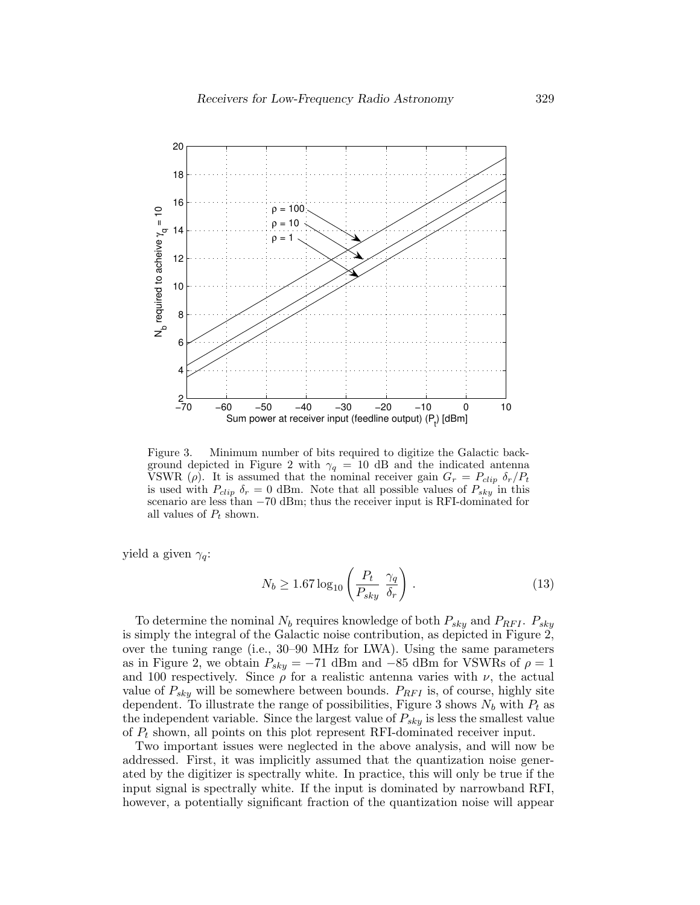

Figure 3. Minimum number of bits required to digitize the Galactic background depicted in Figure 2 with  $\gamma_q = 10$  dB and the indicated antenna VSWR (ρ). It is assumed that the nominal receiver gain  $G_r = P_{clip} \delta_r / P_t$ is used with  $P_{clip} \delta_r = 0$  dBm. Note that all possible values of  $P_{sky}$  in this scenario are less than −70 dBm; thus the receiver input is RFI-dominated for all values of  $P_t$  shown.

yield a given  $\gamma_a$ :

$$
N_b \ge 1.67 \log_{10} \left( \frac{P_t}{P_{sky}} \frac{\gamma_q}{\delta_r} \right) . \tag{13}
$$

To determine the nominal  $N_b$  requires knowledge of both  $P_{sky}$  and  $P_{RFI}$ .  $P_{sky}$ is simply the integral of the Galactic noise contribution, as depicted in Figure 2, over the tuning range (i.e., 30–90 MHz for LWA). Using the same parameters as in Figure 2, we obtain  $P_{sky} = -71$  dBm and  $-85$  dBm for VSWRs of  $\rho = 1$ and 100 respectively. Since  $\rho$  for a realistic antenna varies with  $\nu$ , the actual value of  $P_{sky}$  will be somewhere between bounds.  $P_{RFI}$  is, of course, highly site dependent. To illustrate the range of possibilities, Figure 3 shows  $N_b$  with  $P_t$  as the independent variable. Since the largest value of  $P_{sky}$  is less the smallest value of  $P_t$  shown, all points on this plot represent RFI-dominated receiver input.

Two important issues were neglected in the above analysis, and will now be addressed. First, it was implicitly assumed that the quantization noise generated by the digitizer is spectrally white. In practice, this will only be true if the input signal is spectrally white. If the input is dominated by narrowband RFI, however, a potentially significant fraction of the quantization noise will appear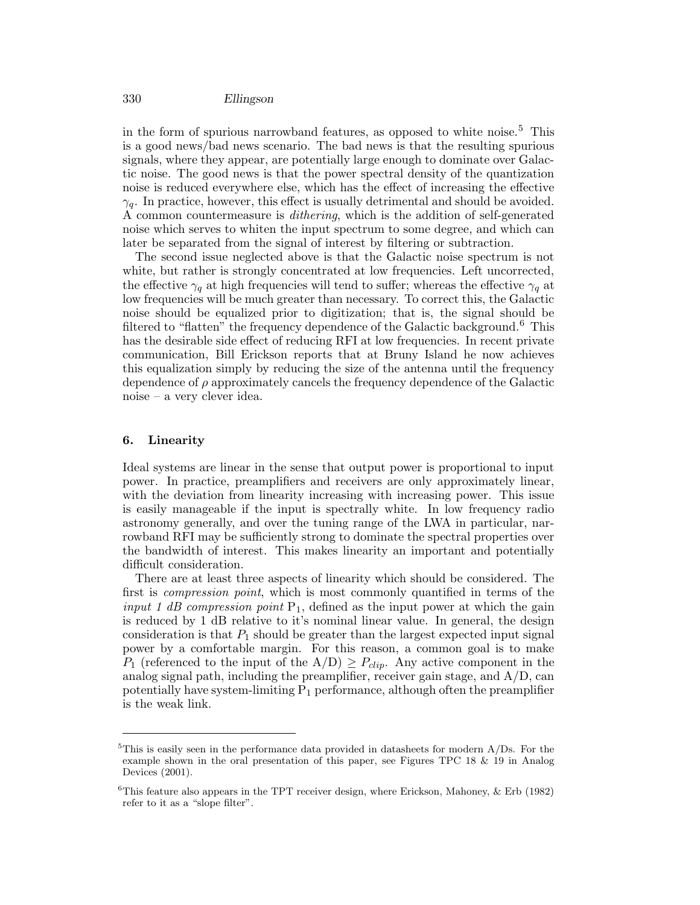in the form of spurious narrowband features, as opposed to white noise.<sup>5</sup> This is a good news/bad news scenario. The bad news is that the resulting spurious signals, where they appear, are potentially large enough to dominate over Galactic noise. The good news is that the power spectral density of the quantization noise is reduced everywhere else, which has the effect of increasing the effective  $\gamma_q$ . In practice, however, this effect is usually detrimental and should be avoided. A common countermeasure is dithering, which is the addition of self-generated noise which serves to whiten the input spectrum to some degree, and which can later be separated from the signal of interest by filtering or subtraction.

The second issue neglected above is that the Galactic noise spectrum is not white, but rather is strongly concentrated at low frequencies. Left uncorrected, the effective  $\gamma_q$  at high frequencies will tend to suffer; whereas the effective  $\gamma_q$  at low frequencies will be much greater than necessary. To correct this, the Galactic noise should be equalized prior to digitization; that is, the signal should be filtered to "flatten" the frequency dependence of the Galactic background.<sup>6</sup> This has the desirable side effect of reducing RFI at low frequencies. In recent private communication, Bill Erickson reports that at Bruny Island he now achieves this equalization simply by reducing the size of the antenna until the frequency dependence of  $\rho$  approximately cancels the frequency dependence of the Galactic noise – a very clever idea.

## 6. Linearity

Ideal systems are linear in the sense that output power is proportional to input power. In practice, preamplifiers and receivers are only approximately linear, with the deviation from linearity increasing with increasing power. This issue is easily manageable if the input is spectrally white. In low frequency radio astronomy generally, and over the tuning range of the LWA in particular, narrowband RFI may be sufficiently strong to dominate the spectral properties over the bandwidth of interest. This makes linearity an important and potentially difficult consideration.

There are at least three aspects of linearity which should be considered. The first is compression point, which is most commonly quantified in terms of the input 1 dB compression point  $P_1$ , defined as the input power at which the gain is reduced by 1 dB relative to it's nominal linear value. In general, the design consideration is that  $P_1$  should be greater than the largest expected input signal power by a comfortable margin. For this reason, a common goal is to make  $P_1$  (referenced to the input of the  $A/D \geq P_{clip}$ . Any active component in the analog signal path, including the preamplifier, receiver gain stage, and  $A/D$ , can potentially have system-limiting  $P_1$  performance, although often the preamplifier is the weak link.

 $5$ This is easily seen in the performance data provided in datasheets for modern  $A/Ds$ . For the example shown in the oral presentation of this paper, see Figures TPC 18 & 19 in Analog Devices (2001).

 ${}^{6}$ This feature also appears in the TPT receiver design, where Erickson, Mahoney, & Erb (1982) refer to it as a "slope filter".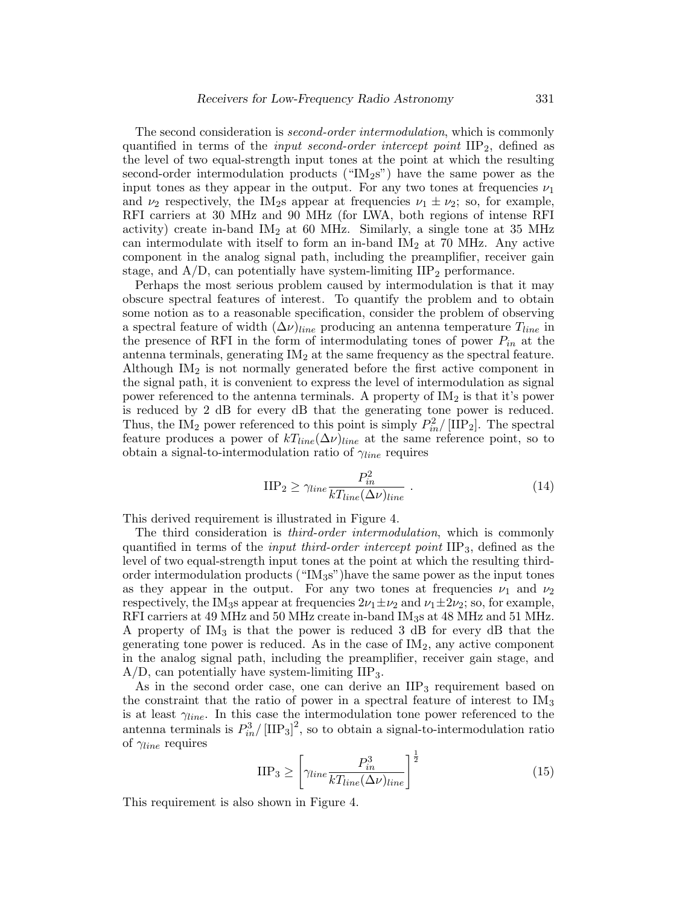The second consideration is *second-order intermodulation*, which is commonly quantified in terms of the *input second-order intercept point*  $\text{IIP}_2$ , defined as the level of two equal-strength input tones at the point at which the resulting second-order intermodulation products (" $M_2$ s") have the same power as the input tones as they appear in the output. For any two tones at frequencies  $\nu_1$ and  $\nu_2$  respectively, the IM<sub>2</sub>s appear at frequencies  $\nu_1 \pm \nu_2$ ; so, for example, RFI carriers at 30 MHz and 90 MHz (for LWA, both regions of intense RFI activity) create in-band  $IM<sub>2</sub>$  at 60 MHz. Similarly, a single tone at 35 MHz can intermodulate with itself to form an in-band  $M_2$  at 70 MHz. Any active component in the analog signal path, including the preamplifier, receiver gain stage, and  $A/D$ , can potentially have system-limiting  $IIP<sub>2</sub>$  performance.

Perhaps the most serious problem caused by intermodulation is that it may obscure spectral features of interest. To quantify the problem and to obtain some notion as to a reasonable specification, consider the problem of observing a spectral feature of width  $(\Delta \nu)_{line}$  producing an antenna temperature  $T_{line}$  in the presence of RFI in the form of intermodulating tones of power  $P_{in}$  at the antenna terminals, generating  $IM<sub>2</sub>$  at the same frequency as the spectral feature. Although  $IM<sub>2</sub>$  is not normally generated before the first active component in the signal path, it is convenient to express the level of intermodulation as signal power referenced to the antenna terminals. A property of  $M_2$  is that it's power is reduced by 2 dB for every dB that the generating tone power is reduced. Thus, the IM<sub>2</sub> power referenced to this point is simply  $P_{in}^2/[\text{HP}_2]$ . The spectral feature produces a power of  $kT_{line}(\Delta \nu)_{line}$  at the same reference point, so to obtain a signal-to-intermodulation ratio of  $\gamma_{line}$  requires

$$
\text{IIP}_2 \ge \gamma_{line} \frac{P_{in}^2}{kT_{line}(\Delta \nu)_{line}} \tag{14}
$$

This derived requirement is illustrated in Figure 4.

The third consideration is *third-order intermodulation*, which is commonly quantified in terms of the *input third-order intercept point* IIP<sub>3</sub>, defined as the level of two equal-strength input tones at the point at which the resulting thirdorder intermodulation products (" $M<sub>3</sub>s$ ") have the same power as the input tones as they appear in the output. For any two tones at frequencies  $\nu_1$  and  $\nu_2$ respectively, the IM<sub>3</sub>s appear at frequencies  $2\nu_1 \pm \nu_2$  and  $\nu_1 \pm 2\nu_2$ ; so, for example, RFI carriers at 49 MHz and 50 MHz create in-band IM3s at 48 MHz and 51 MHz. A property of  $IM_3$  is that the power is reduced 3 dB for every dB that the generating tone power is reduced. As in the case of  $IM<sub>2</sub>$ , any active component in the analog signal path, including the preamplifier, receiver gain stage, and  $A/D$ , can potentially have system-limiting  $IIP_3$ .

As in the second order case, one can derive an  $\text{HP}_3$  requirement based on the constraint that the ratio of power in a spectral feature of interest to  $\text{IM}_3$ is at least  $\gamma_{line}$ . In this case the intermodulation tone power referenced to the antenna terminals is  $P_{in}^3/[\text{HP}_3]^2$ , so to obtain a signal-to-intermodulation ratio of  $\gamma_{line}$  requires

$$
\text{HP}_3 \ge \left[ \gamma_{line} \frac{P_{in}^3}{kT_{line}(\Delta \nu)_{line}} \right]^{\frac{1}{2}}
$$
(15)

This requirement is also shown in Figure 4.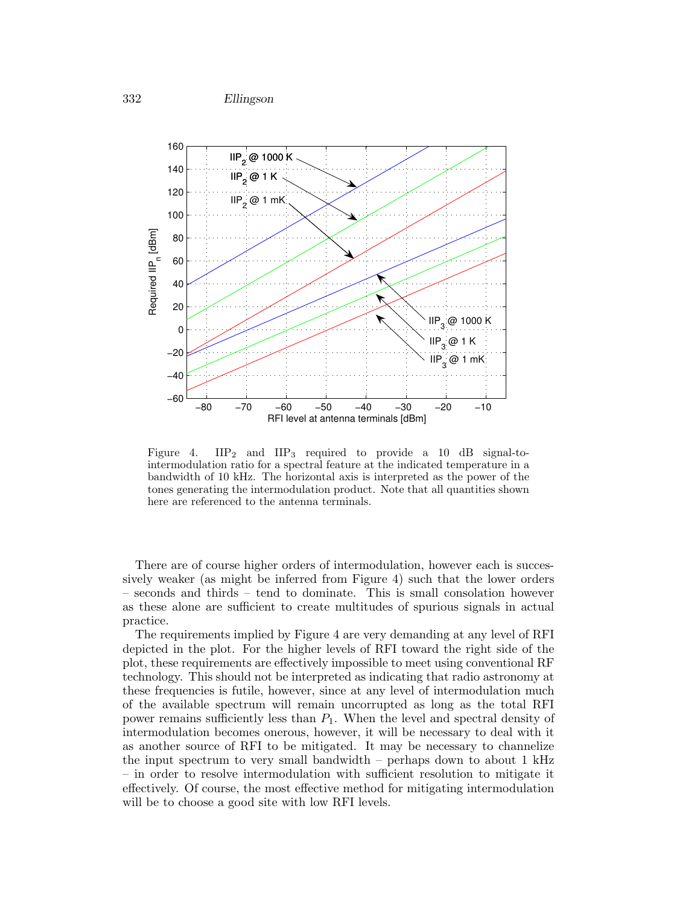

Figure 4.  $IIP<sub>2</sub>$  and  $IIP<sub>3</sub>$  required to provide a 10 dB signal-tointermodulation ratio for a spectral feature at the indicated temperature in a bandwidth of 10 kHz. The horizontal axis is interpreted as the power of the tones generating the intermodulation product. Note that all quantities shown here are referenced to the antenna terminals.

There are of course higher orders of intermodulation, however each is successively weaker (as might be inferred from Figure 4) such that the lower orders – seconds and thirds – tend to dominate. This is small consolation however as these alone are sufficient to create multitudes of spurious signals in actual practice.

The requirements implied by Figure 4 are very demanding at any level of RFI depicted in the plot. For the higher levels of RFI toward the right side of the plot, these requirements are effectively impossible to meet using conventional RF technology. This should not be interpreted as indicating that radio astronomy at these frequencies is futile, however, since at any level of intermodulation much of the available spectrum will remain uncorrupted as long as the total RFI power remains sufficiently less than  $P_1$ . When the level and spectral density of intermodulation becomes onerous, however, it will be necessary to deal with it as another source of RFI to be mitigated. It may be necessary to channelize the input spectrum to very small bandwidth – perhaps down to about 1 kHz – in order to resolve intermodulation with sufficient resolution to mitigate it effectively. Of course, the most effective method for mitigating intermodulation will be to choose a good site with low RFI levels.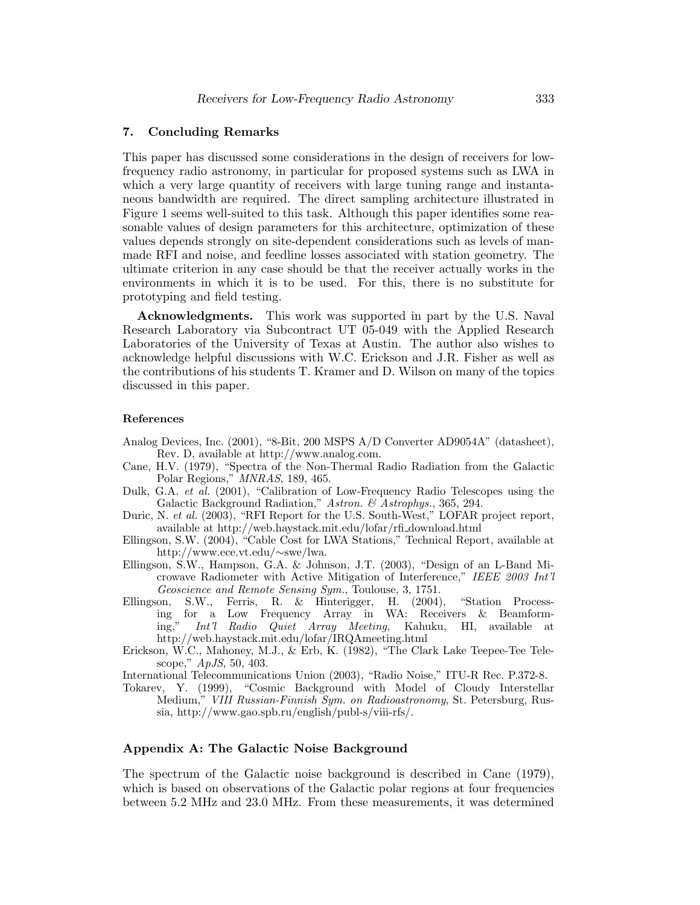## 7. Concluding Remarks

This paper has discussed some considerations in the design of receivers for lowfrequency radio astronomy, in particular for proposed systems such as LWA in which a very large quantity of receivers with large tuning range and instantaneous bandwidth are required. The direct sampling architecture illustrated in Figure 1 seems well-suited to this task. Although this paper identifies some reasonable values of design parameters for this architecture, optimization of these values depends strongly on site-dependent considerations such as levels of manmade RFI and noise, and feedline losses associated with station geometry. The ultimate criterion in any case should be that the receiver actually works in the environments in which it is to be used. For this, there is no substitute for prototyping and field testing.

Acknowledgments. This work was supported in part by the U.S. Naval Research Laboratory via Subcontract UT 05-049 with the Applied Research Laboratories of the University of Texas at Austin. The author also wishes to acknowledge helpful discussions with W.C. Erickson and J.R. Fisher as well as the contributions of his students T. Kramer and D. Wilson on many of the topics discussed in this paper.

#### References

- Analog Devices, Inc. (2001), "8-Bit, 200 MSPS A/D Converter AD9054A" (datasheet), Rev. D, available at http://www.analog.com.
- Cane, H.V. (1979), "Spectra of the Non-Thermal Radio Radiation from the Galactic Polar Regions," MNRAS, 189, 465.
- Dulk, G.A. et al. (2001), "Calibration of Low-Frequency Radio Telescopes using the Galactic Background Radiation," Astron. & Astrophys., 365, 294.
- Duric, N. et al. (2003), "RFI Report for the U.S. South-West," LOFAR project report, available at http://web.haystack.mit.edu/lofar/rfi download.html
- Ellingson, S.W. (2004), "Cable Cost for LWA Stations," Technical Report, available at http://www.ece.vt.edu/∼swe/lwa.
- Ellingson, S.W., Hampson, G.A. & Johnson, J.T. (2003), "Design of an L-Band Microwave Radiometer with Active Mitigation of Interference," IEEE 2003 Int'l Geoscience and Remote Sensing Sym., Toulouse, 3, 1751.
- Ellingson, S.W., Ferris, R. & Hinterigger, H. (2004), "Station Processing for a Low Frequency Array in WA: Receivers & Beamform-<br>ing," *Int'l Radio Quiet Array Meeting*, Kahuku, HI, available at Int'l Radio Quiet Array Meeting, Kahuku, HI, available at http://web.haystack.mit.edu/lofar/IRQAmeeting.html
- Erickson, W.C., Mahoney, M.J., & Erb, K. (1982), "The Clark Lake Teepee-Tee Telescope," ApJS, 50, 403.

International Telecommunications Union (2003), "Radio Noise," ITU-R Rec. P.372-8.

Tokarev, Y. (1999), "Cosmic Background with Model of Cloudy Interstellar Medium," VIII Russian-Finnish Sym. on Radioastronomy, St. Petersburg, Russia, http://www.gao.spb.ru/english/publ-s/viii-rfs/.

# Appendix A: The Galactic Noise Background

The spectrum of the Galactic noise background is described in Cane (1979), which is based on observations of the Galactic polar regions at four frequencies between 5.2 MHz and 23.0 MHz. From these measurements, it was determined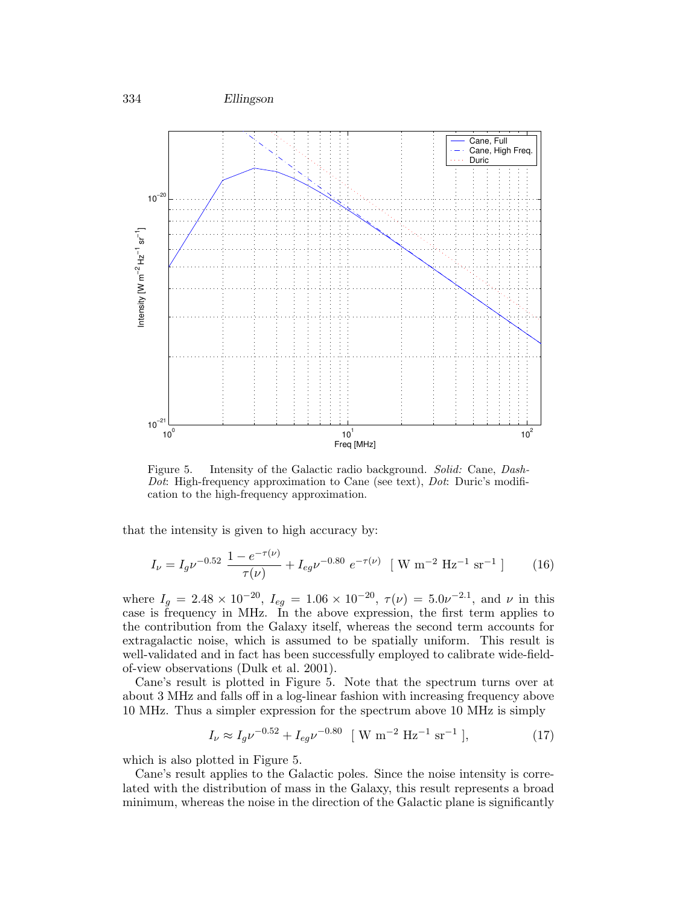



Figure 5. Intensity of the Galactic radio background. Solid: Cane, Dash-Dot: High-frequency approximation to Cane (see text), Dot: Duric's modification to the high-frequency approximation.

that the intensity is given to high accuracy by:

$$
I_{\nu} = I_g \nu^{-0.52} \frac{1 - e^{-\tau(\nu)}}{\tau(\nu)} + I_{eg} \nu^{-0.80} e^{-\tau(\nu)} \quad [\text{ W m}^{-2} \text{ Hz}^{-1} \text{ sr}^{-1}] \tag{16}
$$

where  $I_g = 2.48 \times 10^{-20}$ ,  $I_{eg} = 1.06 \times 10^{-20}$ ,  $\tau(\nu) = 5.0 \nu^{-2.1}$ , and  $\nu$  in this case is frequency in MHz. In the above expression, the first term applies to the contribution from the Galaxy itself, whereas the second term accounts for extragalactic noise, which is assumed to be spatially uniform. This result is well-validated and in fact has been successfully employed to calibrate wide-fieldof-view observations (Dulk et al. 2001).

Cane's result is plotted in Figure 5. Note that the spectrum turns over at about 3 MHz and falls off in a log-linear fashion with increasing frequency above 10 MHz. Thus a simpler expression for the spectrum above 10 MHz is simply

$$
I_{\nu} \approx I_g \nu^{-0.52} + I_{eg} \nu^{-0.80} \quad [\text{ W m}^{-2} \text{ Hz}^{-1} \text{ sr}^{-1} ], \tag{17}
$$

which is also plotted in Figure 5.

Cane's result applies to the Galactic poles. Since the noise intensity is correlated with the distribution of mass in the Galaxy, this result represents a broad minimum, whereas the noise in the direction of the Galactic plane is significantly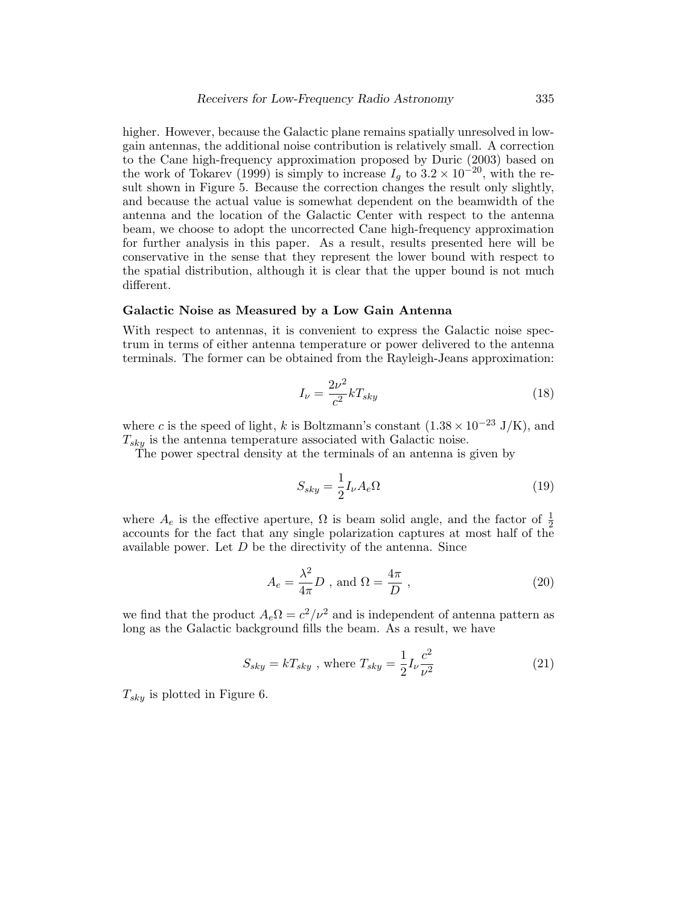higher. However, because the Galactic plane remains spatially unresolved in lowgain antennas, the additional noise contribution is relatively small. A correction to the Cane high-frequency approximation proposed by Duric (2003) based on the work of Tokarev (1999) is simply to increase  $I_g$  to  $3.2 \times 10^{-20}$ , with the result shown in Figure 5. Because the correction changes the result only slightly, and because the actual value is somewhat dependent on the beamwidth of the antenna and the location of the Galactic Center with respect to the antenna beam, we choose to adopt the uncorrected Cane high-frequency approximation for further analysis in this paper. As a result, results presented here will be conservative in the sense that they represent the lower bound with respect to the spatial distribution, although it is clear that the upper bound is not much different.

#### Galactic Noise as Measured by a Low Gain Antenna

With respect to antennas, it is convenient to express the Galactic noise spectrum in terms of either antenna temperature or power delivered to the antenna terminals. The former can be obtained from the Rayleigh-Jeans approximation:

$$
I_{\nu} = \frac{2\nu^2}{c^2} k T_{sky} \tag{18}
$$

where c is the speed of light, k is Boltzmann's constant  $(1.38 \times 10^{-23} \text{ J/K})$ , and  $T_{sky}$  is the antenna temperature associated with Galactic noise.

The power spectral density at the terminals of an antenna is given by

$$
S_{sky} = \frac{1}{2} I_{\nu} A_e \Omega \tag{19}
$$

where  $A_e$  is the effective aperture,  $\Omega$  is beam solid angle, and the factor of  $\frac{1}{2}$ accounts for the fact that any single polarization captures at most half of the available power. Let  $D$  be the directivity of the antenna. Since

$$
A_e = \frac{\lambda^2}{4\pi} D \text{ , and } \Omega = \frac{4\pi}{D} \text{ ,}
$$
 (20)

we find that the product  $A_e\Omega = c^2/\nu^2$  and is independent of antenna pattern as long as the Galactic background fills the beam. As a result, we have

$$
S_{sky} = kT_{sky} \text{ , where } T_{sky} = \frac{1}{2} I_{\nu} \frac{c^2}{\nu^2} \tag{21}
$$

 $T_{sky}$  is plotted in Figure 6.